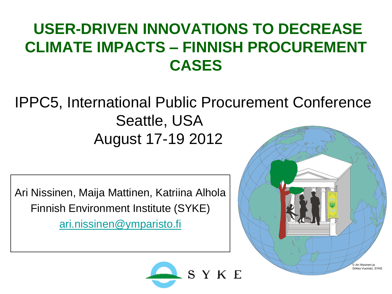### **USER-DRIVEN INNOVATIONS TO DECREASE CLIMATE IMPACTS – FINNISH PROCUREMENT CASES**

### IPPC5, International Public Procurement Conference Seattle, USA August 17-19 2012

Ari Nissinen, Maija Mattinen, Katriina Alhola Finnish Environment Institute (SYKE) [ari.nissinen@ymparisto.fi](mailto:ari.nissinen@ymparisto.fi)



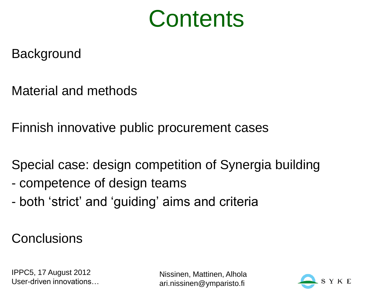## **Contents**

**Background** 

Material and methods

Finnish innovative public procurement cases

Special case: design competition of Synergia building

- competence of design teams
- both 'strict' and 'guiding' aims and criteria

**Conclusions** 

IPPC5, 17 August 2012 User-driven innovations…

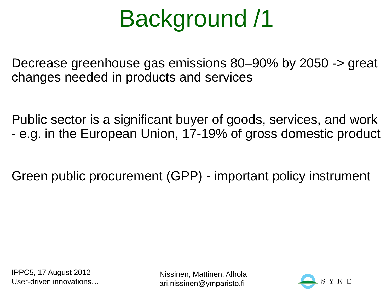## Background /1

Decrease greenhouse gas emissions 80–90% by 2050 -> great changes needed in products and services

Public sector is a significant buyer of goods, services, and work - e.g. in the European Union, 17-19% of gross domestic product

Green public procurement (GPP) - important policy instrument

IPPC5, 17 August 2012 User-driven innovations…

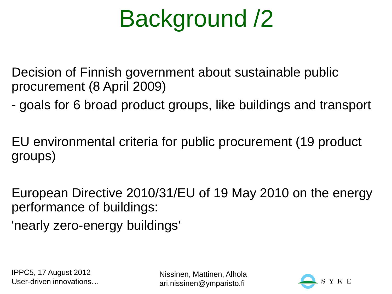## Background /2

Decision of Finnish government about sustainable public procurement (8 April 2009)

- goals for 6 broad product groups, like buildings and transport

EU environmental criteria for public procurement (19 product groups)

European Directive 2010/31/EU of 19 May 2010 on the energy performance of buildings: 'nearly zero-energy buildings'

IPPC5, 17 August 2012 User-driven innovations…

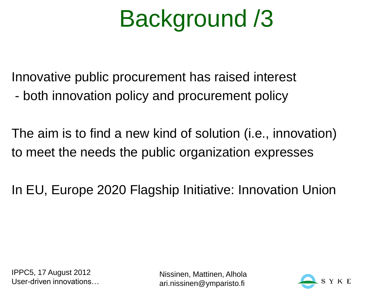## Background /3

Innovative public procurement has raised interest

- both innovation policy and procurement policy

The aim is to find a new kind of solution (i.e., innovation) to meet the needs the public organization expresses

In EU, Europe 2020 Flagship Initiative: Innovation Union

IPPC5, 17 August 2012 User-driven innovations…

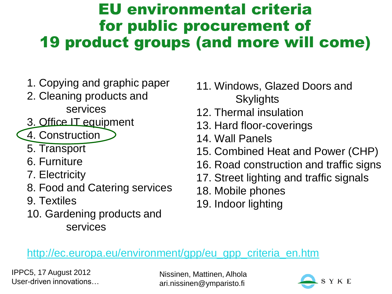### EU environmental criteria for public procurement of 19 product groups (and more will come)

- 1. Copying and graphic paper
- 2. Cleaning products and services
- 3. Office IT equipment
- 4. Construction
	- 5. Transport
	- 6. Furniture
	- 7. Electricity
	- 8. Food and Catering services
	- 9. Textiles
	- 10. Gardening products and services
- 11. Windows, Glazed Doors and **Skylights**
- 12. Thermal insulation
- 13. Hard floor-coverings
- 14. Wall Panels
- 15. Combined Heat and Power (CHP)
- 16. Road construction and traffic signs
- 17. Street lighting and traffic signals
- 18. Mobile phones
- 19. Indoor lighting

### http://ec.europa.eu/environment/gpp/eu\_gpp\_criteria\_en.htm

IPPC5, 17 August 2012 User-driven innovations…

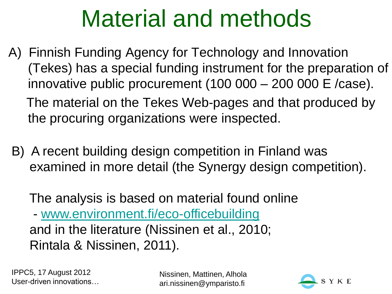## Material and methods

- A) Finnish Funding Agency for Technology and Innovation (Tekes) has a special funding instrument for the preparation of innovative public procurement (100 000 – 200 000 E /case). The material on the Tekes Web-pages and that produced by the procuring organizations were inspected.
- B) A recent building design competition in Finland was examined in more detail (the Synergy design competition).

The analysis is based on material found online

 - [www.environment.fi/eco-officebuilding](http://www.environment.fi/eco-officebuilding) and in the literature (Nissinen et al., 2010; Rintala & Nissinen, 2011).

IPPC5, 17 August 2012 User-driven innovations…

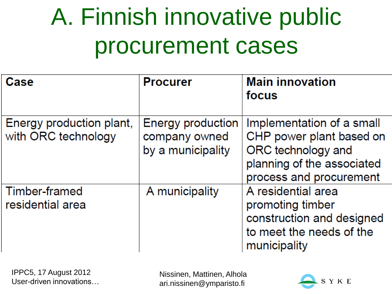# A. Finnish innovative public procurement cases

| Case                                            | <b>Procurer</b>                                         | <b>Main innovation</b><br>focus                                                                                                      |
|-------------------------------------------------|---------------------------------------------------------|--------------------------------------------------------------------------------------------------------------------------------------|
| Energy production plant,<br>with ORC technology | Energy production<br>company owned<br>by a municipality | Implementation of a small<br>CHP power plant based on<br>ORC technology and<br>planning of the associated<br>process and procurement |
| Timber-framed<br>residential area               | A municipality                                          | A residential area<br>promoting timber<br>construction and designed<br>to meet the needs of the<br>municipality                      |

IPPC5, 17 August 2012 User-driven innovations…

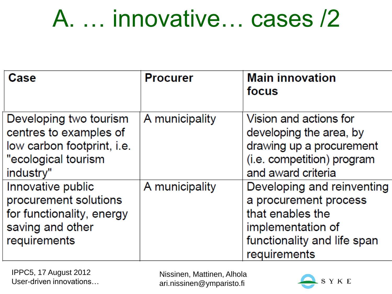## A. … innovative… cases /2

| Case                                                                                                               | <b>Procurer</b> | <b>Main innovation</b><br>focus                                                                                                             |
|--------------------------------------------------------------------------------------------------------------------|-----------------|---------------------------------------------------------------------------------------------------------------------------------------------|
| Developing two tourism<br>centres to examples of<br>low carbon footprint, i.e.<br>"ecological tourism<br>industry" | A municipality  | Vision and actions for<br>developing the area, by<br>drawing up a procurement<br>(i.e. competition) program<br>and award criteria           |
| Innovative public<br>procurement solutions<br>for functionality, energy<br>saving and other<br>requirements        | A municipality  | Developing and reinventing<br>a procurement process<br>that enables the<br>implementation of<br>functionality and life span<br>requirements |

IPPC5, 17 August 2012 User-driven innovations…

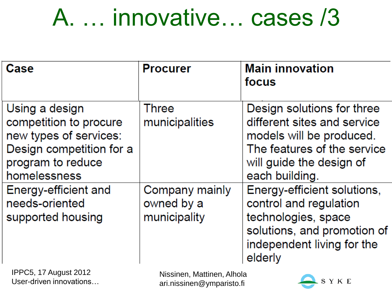## A. … innovative… cases /3

| Case                                                                                                                                | <b>Procurer</b>                              | <b>Main innovation</b><br>focus                                                                                                                                    |
|-------------------------------------------------------------------------------------------------------------------------------------|----------------------------------------------|--------------------------------------------------------------------------------------------------------------------------------------------------------------------|
| Using a design<br>competition to procure<br>new types of services:<br>Design competition for a<br>program to reduce<br>homelessness | Three<br>municipalities                      | Design solutions for three<br>different sites and service<br>models will be produced.<br>The features of the service<br>will guide the design of<br>each building. |
| Energy-efficient and<br>needs-oriented<br>supported housing                                                                         | Company mainly<br>owned by a<br>municipality | Energy-efficient solutions,<br>control and regulation<br>technologies, space<br>solutions, and promotion of<br>independent living for the<br>elderly               |

IPPC5, 17 August 2012 User-driven innovations…

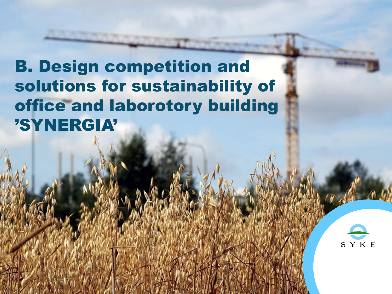### B. Design competition and solutions for sustainability of office and laborotory building 'SYNERGIA'

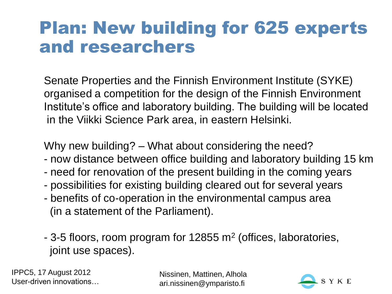### Plan: New building for 625 experts and researchers

Senate Properties and the Finnish Environment Institute (SYKE) organised a competition for the design of the Finnish Environment Institute's office and laboratory building. The building will be located in the Viikki Science Park area, in eastern Helsinki.

Why new building? – What about considering the need?

- now distance between office building and laboratory building 15 km
- need for renovation of the present building in the coming years
- possibilities for existing building cleared out for several years
- benefits of co-operation in the environmental campus area (in a statement of the Parliament).
- 3-5 floors, room program for 12855 m<sup>2</sup> (offices, laboratories, joint use spaces).

IPPC5, 17 August 2012 User-driven innovations…

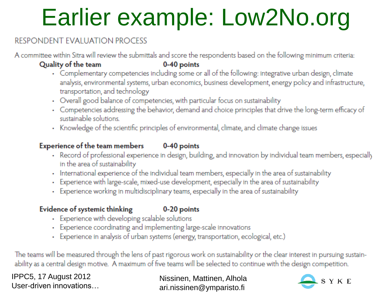# Earlier example: Low2No.org

#### **RESPONDENT EVALUATION PROCESS**

A committee within Sitra will review the submittals and score the respondents based on the following minimum criteria:

#### Quality of the team

#### 0-40 points

- Complementary competencies including some or all of the following: integrative urban design, climate analysis, environmental systems, urban economics, business development, energy policy and infrastructure, transportation, and technology
- Overall good balance of competencies, with particular focus on sustainability
- Competencies addressing the behavior, demand and choice principles that drive the long-term efficacy of sustainable solutions.
- Knowledge of the scientific principles of environmental, climate, and climate change issues

#### **Experience of the team members** 0-40 points

- Record of professional experience in design, building, and innovation by individual team members, especially in the area of sustainability
- International experience of the individual team members, especially in the area of sustainability
- Experience with large-scale, mixed-use development, especially in the area of sustainability
- Experience working in multidisciplinary teams, especially in the area of sustainability

#### Evidence of systemic thinking

#### 0-20 points

- Experience with developing scalable solutions
- Experience coordinating and implementing large-scale innovations
- Experience in analysis of urban systems (energy, transportation, ecological, etc.)

The teams will be measured through the lens of past rigorous work on sustainability or the clear interest in pursuing sustainability as a central design motive. A maximum of five teams will be selected to continue with the design competition.

IPPC5, 17 August 2012 User-driven innovations…

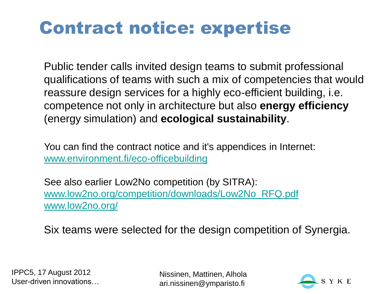### Contract notice: expertise

Public tender calls invited design teams to submit professional qualifications of teams with such a mix of competencies that would reassure design services for a highly eco-efficient building, i.e. competence not only in architecture but also **energy efficiency**  (energy simulation) and **ecological sustainability**.

You can find the contract notice and it's appendices in Internet: [www.environment.fi/eco-officebuilding](http://www.environment.fi/eco-officebuilding)

See also earlier Low2No competition (by SITRA): [www.low2no.org/competition/downloads/Low2No\\_RFQ.pdf](http://www.low2no.org/competition/downloads/Low2No_RFQ.pdf) [www.low2no.org/](http://www.low2no.org/)

Six teams were selected for the design competition of Synergia.

IPPC5, 17 August 2012 User-driven innovations…

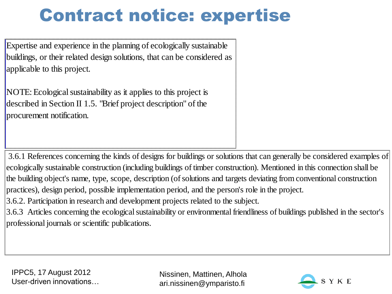### Contract notice: expertise

Expertise and experience in the planning of ecologically sustainable buildings, or their related design solutions, that can be considered as applicable to this project.

NOTE: Ecological sustainability as it applies to this project is described in Section II 1.5. "Brief project description" of the procurement notification.

 3.6.1 References concerning the kinds of designs for buildings or solutions that can generally be considered examples of ecologically sustainable construction (including buildings of timber construction). Mentioned in this connection shall be the building object's name, type, scope, description (of solutions and targets deviating from conventional construction practices), design period, possible implementation period, and the person's role in the project.

3.6.2. Participation in research and development projects related to the subject.

3.6.3 Articles concerning the ecological sustainability or environmental friendliness of buildings published in the sector's professional journals or scientific publications.

IPPC5, 17 August 2012 User-driven innovations…

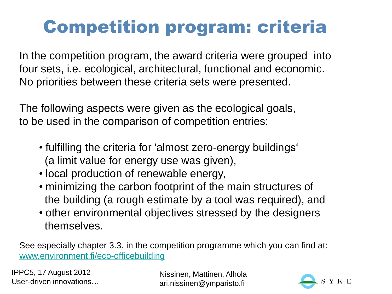## Competition program: criteria

In the competition program, the award criteria were grouped into four sets, i.e. ecological, architectural, functional and economic. No priorities between these criteria sets were presented.

The following aspects were given as the ecological goals, to be used in the comparison of competition entries:

- fulfilling the criteria for 'almost zero-energy buildings' (a limit value for energy use was given),
- local production of renewable energy,
- minimizing the carbon footprint of the main structures of the building (a rough estimate by a tool was required), and
- other environmental objectives stressed by the designers themselves.

See especially chapter 3.3. in the competition programme which you can find at: [www.environment.fi/eco-officebuilding](http://www.environment.fi/eco-officebuilding)

IPPC5, 17 August 2012 User-driven innovations…

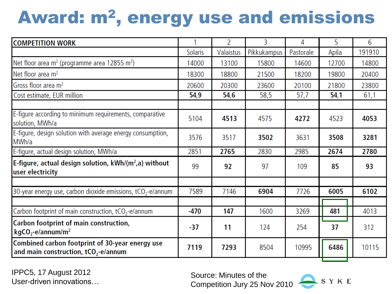## Award: m<sup>2</sup>, energy use and emissions

| <b>COMPETITION WORK</b>                                                                    |                | 2                | 3           | 4         | 5     | 6      |
|--------------------------------------------------------------------------------------------|----------------|------------------|-------------|-----------|-------|--------|
|                                                                                            | <b>Solaris</b> | <b>Valaistus</b> | Pikkukampus | Pastorale | Apila | 191910 |
| Net floor area $m^2$ (programme area 12855 m <sup>2</sup> )                                | 14000          | 13100            | 15800       | 14600     | 12700 | 14800  |
| Net floor area m <sup>2</sup>                                                              | 18300          | 18800            | 21500       | 18200     | 19800 | 20400  |
| Gross floor area m <sup>2</sup>                                                            | 20600          | 20300            | 23600       | 20100     | 21800 | 23800  |
| Cost estimate, EUR million                                                                 | 54,9           | 54,6             | 58,5        | 57,7      | 54,1  | 61,1   |
| E-figure according to minimum requirements, comparative<br>solution, MWh/a                 | 5104           | 4513             | 4575        | 4272      | 4523  | 4053   |
| E-figure, design solution with average energy consumption,<br>MWh/a                        | 3576           | 3517             | 3502        | 3631      | 3508  | 3281   |
| E-figure, actual design solution, MWh/a                                                    | 2851           | 2765             | 2830        | 2985      | 2674  | 2780   |
| E-figure, actual design solution, $kWh/(m^2, a)$ without<br>user electricity               | 99             | 92               | 97          | 109       | 85    | 93     |
| 30-year energy use, carbon dioxide emissions, $tCO2$ -e/annum                              | 7589           | 7146             | 6904        | 7726      | 6005  | 6102   |
|                                                                                            |                |                  |             |           |       |        |
| Carbon footprint of main construction, $tCO2$ -e/annum                                     | -470           | 147              | 1600        | 3269      | 481   | 4013   |
| Carbon footprint of main construction,<br>$kgCO2$ -e/annum/m <sup>2</sup>                  | -37            | 11               | 124         | 254       | 37    | 312    |
| Combined carbon footprint of 30-year energy use<br>and main construction, $tCO_2$ -e/annum | 7119           | 7293             | 8504        | 10995     | 6486  | 10115  |

IPPC5, 17 August 2012 User-driven innovations…

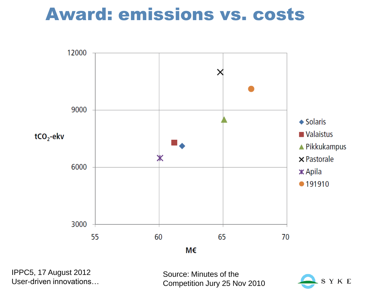### Award: emissions vs. costs



User-driven innovations…

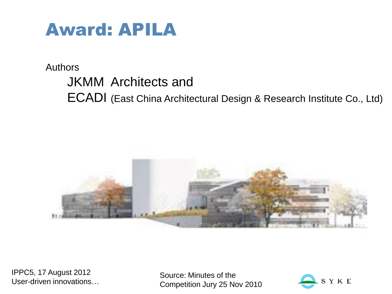

#### Authors

### JKMM Architects and

ECADI (East China Architectural Design & Research Institute Co., Ltd)



IPPC5, 17 August 2012 User-driven innovations…

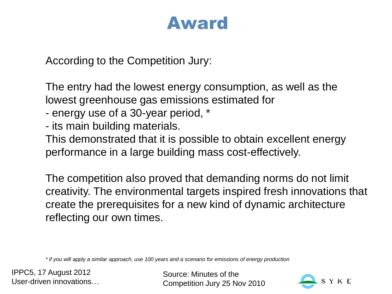### Award

According to the Competition Jury:

The entry had the lowest energy consumption, as well as the lowest greenhouse gas emissions estimated for

- energy use of a 30-year period, \*
- its main building materials.

This demonstrated that it is possible to obtain excellent energy performance in a large building mass cost-effectively.

The competition also proved that demanding norms do not limit creativity. The environmental targets inspired fresh innovations that create the prerequisites for a new kind of dynamic architecture reflecting our own times.

*\* if you will apply a similar approach, use 100 years and a scenario for emissions of energy production*

IPPC5, 17 August 2012 User-driven innovations…

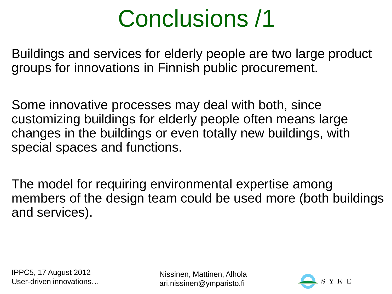## Conclusions /1

Buildings and services for elderly people are two large product groups for innovations in Finnish public procurement.

Some innovative processes may deal with both, since customizing buildings for elderly people often means large changes in the buildings or even totally new buildings, with special spaces and functions.

The model for requiring environmental expertise among members of the design team could be used more (both buildings and services).

IPPC5, 17 August 2012 User-driven innovations…